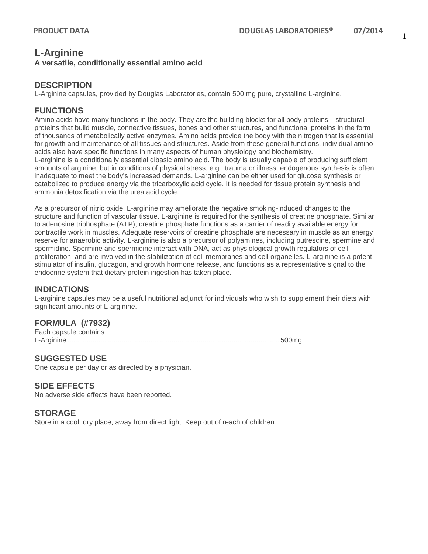# **L-Arginine**

#### **A versatile, conditionally essential amino acid**

### **DESCRIPTION**

L-Arginine capsules, provided by Douglas Laboratories, contain 500 mg pure, crystalline L-arginine.

## **FUNCTIONS**

Amino acids have many functions in the body. They are the building blocks for all body proteins—structural proteins that build muscle, connective tissues, bones and other structures, and functional proteins in the form of thousands of metabolically active enzymes. Amino acids provide the body with the nitrogen that is essential for growth and maintenance of all tissues and structures. Aside from these general functions, individual amino acids also have specific functions in many aspects of human physiology and biochemistry. L-arginine is a conditionally essential dibasic amino acid. The body is usually capable of producing sufficient amounts of arginine, but in conditions of physical stress, e.g., trauma or illness, endogenous synthesis is often inadequate to meet the body's increased demands. L-arginine can be either used for glucose synthesis or catabolized to produce energy via the tricarboxylic acid cycle. It is needed for tissue protein synthesis and ammonia detoxification via the urea acid cycle.

As a precursor of nitric oxide, L-arginine may ameliorate the negative smoking-induced changes to the structure and function of vascular tissue. L-arginine is required for the synthesis of creatine phosphate. Similar to adenosine triphosphate (ATP), creatine phosphate functions as a carrier of readily available energy for contractile work in muscles. Adequate reservoirs of creatine phosphate are necessary in muscle as an energy reserve for anaerobic activity. L-arginine is also a precursor of polyamines, including putrescine, spermine and spermidine. Spermine and spermidine interact with DNA, act as physiological growth regulators of cell proliferation, and are involved in the stabilization of cell membranes and cell organelles. L-arginine is a potent stimulator of insulin, glucagon, and growth hormone release, and functions as a representative signal to the endocrine system that dietary protein ingestion has taken place.

#### **INDICATIONS**

L-arginine capsules may be a useful nutritional adjunct for individuals who wish to supplement their diets with significant amounts of L-arginine.

### **FORMULA (#7932)**

Each capsule contains: L-Arginine ..............................................................................................................500mg

#### **SUGGESTED USE**

One capsule per day or as directed by a physician.

### **SIDE EFFECTS**

No adverse side effects have been reported.

#### **STORAGE**

Store in a cool, dry place, away from direct light. Keep out of reach of children.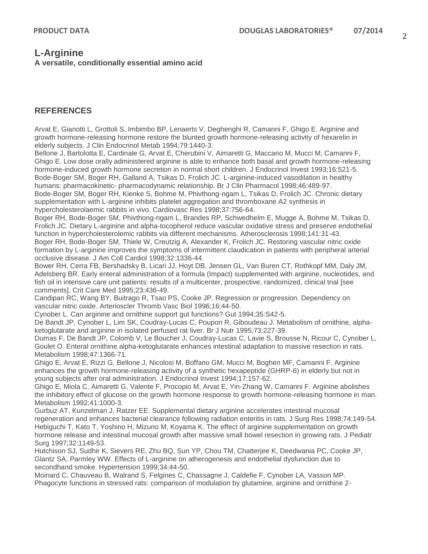## **L-Arginine**

#### **A versatile, conditionally essential amino acid**

## **REFERENCES**

Arvat E, Gianotti L, Grottoli S, Imbimbo BP, Lenaerts V, Deghenghi R, Camanni F, Ghigo E. Arginine and growth hormone-releasing hormone restore the blunted growth hormone-releasing activity of hexarelin in elderly subjects. J Clin Endocrinol Metab 1994;79:1440-3.

Bellone J, Bartolotta E, Cardinale G, Arvat E, Cherubini V, Aimaretti G, Maccario M, Mucci M, Camanni F, Ghigo E. Low dose orally administered arginine is able to enhance both basal and growth hormone-releasing hormone-induced growth hormone secretion in normal short children. J Endocrinol Invest 1993;16:521-5. Bode-Boger SM, Boger RH, Galland A, Tsikas D, Frolich JC. L-arginine-induced vasodilation in healthy humans: pharmacokinetic- pharmacodynamic relationship. Br J Clin Pharmacol 1998;46:489-97.

Bode-Boger SM, Boger RH, Kienke S, Bohme M, Phivthong-ngam L, Tsikas D, Frolich JC. Chronic dietary supplementation with L-arginine inhibits platelet aggregation and thromboxane A2 synthesis in hypercholesterolaemic rabbits in vivo. Cardiovasc Res 1998;37:756-64.

Boger RH, Bode-Boger SM, Phivthong-ngam L, Brandes RP, Schwedhelm E, Mugge A, Bohme M, Tsikas D, Frolich JC. Dietary L-arginine and alpha-tocopherol reduce vascular oxidative stress and preserve endothelial function in hypercholesterolemic rabbits via different mechanisms. Atherosclerosis 1998;141:31-43.

Boger RH, Bode-Boger SM, Thiele W, Creutzig A, Alexander K, Frolich JC. Restoring vascular nitric oxide formation by L-arginine improves the symptoms of intermittent claudication in patients with peripheral arterial occlusive disease. J Am Coll Cardiol 1998;32:1336-44.

Bower RH, Cerra FB, Bershadsky B, Licari JJ, Hoyt DB, Jensen GL, Van Buren CT, Rothkopf MM, Daly JM, Adelsberg BR. Early enteral administration of a formula (Impact) supplemented with arginine, nucleotides, and fish oil in intensive care unit patients: results of a multicenter, prospective, randomized, clinical trial [see comments]. Crit Care Med 1995;23:436-49.

Candipan RC, Wang BY, Buitrago R, Tsao PS, Cooke JP. Regression or progression. Dependency on vascular nitric oxide. Arterioscler Thromb Vasc Biol 1996;16:44-50.

Cynober L. Can arginine and ornithine support gut functions? Gut 1994;35:S42-5.

De Bandt JP, Cynober L, Lim SK, Coudray-Lucas C, Poupon R, Giboudeau J. Metabolism of ornithine, alphaketoglutarate and arginine in isolated perfused rat liver. Br J Nutr 1995;73:227-39.

Dumas F, De Bandt JP, Colomb V, Le Boucher J, Coudray-Lucas C, Lavie S, Brousse N, Ricour C, Cynober L, Goulet O. Enteral ornithine alpha-ketoglutarate enhances intestinal adaptation to massive resection in rats. Metabolism 1998;47:1366-71.

Ghigo E, Arvat E, Rizzi G, Bellone J, Nicolosi M, Boffano GM, Mucci M, Boghen MF, Camanni F. Arginine enhances the growth hormone-releasing activity of a synthetic hexapeptide (GHRP-6) in elderly but not in young subjects after oral administration. J Endocrinol Invest 1994;17:157-62.

Ghigo E, Miola C, Aimaretti G, Valente F, Procopio M, Arvat E, Yin-Zhang W, Camanni F. Arginine abolishes the inhibitory effect of glucose on the growth hormone response to growth hormone-releasing hormone in man. Metabolism 1992;41:1000-3.

Gurbuz AT, Kunzelman J, Ratzer EE. Supplemental dietary arginine accelerates intestinal mucosal regeneration and enhances bacterial clearance following radiation enteritis in rats. J Surg Res 1998;74:149-54. Hebiguchi T, Kato T, Yoshino H, Mizuno M, Koyama K. The effect of arginine supplementation on growth hormone release and intestinal mucosal growth after massive small bowel resection in growing rats. J Pediatr Surg 1997;32:1149-53.

Hutchison SJ, Sudhir K, Sievers RE, Zhu BQ, Sun YP, Chou TM, Chatterjee K, Deedwania PC, Cooke JP, Glantz SA, Parmley WW. Effects of L-arginine on atherogenesis and endothelial dysfunction due to secondhand smoke. Hypertension 1999;34:44-50.

Moinard C, Chauveau B, Walrand S, Felgines C, Chassagne J, Caldefie F, Cynober LA, Vasson MP. Phagocyte functions in stressed rats: comparison of modulation by glutamine, arginine and ornithine 2-